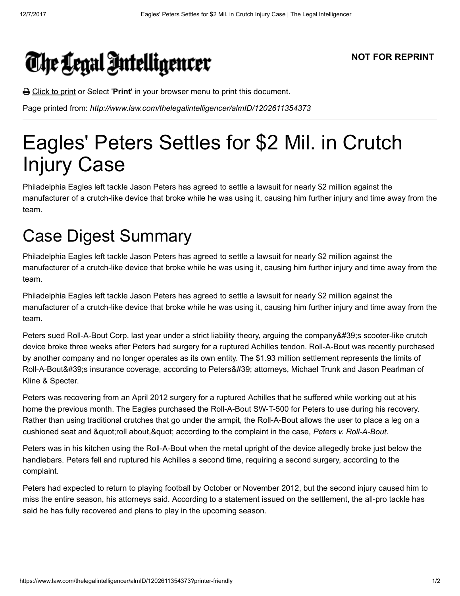## The Legal Intelligencer

**</u> Click to print or Select 'Print'** in your browser menu to print this document.

Page printed from: http://www.law.com/thelegalintelligencer/almID/1202611354373

## Eagles' Peters Settles for \$2 Mil. in Crutch Injury Case

Philadelphia Eagles left tackle Jason Peters has agreed to settle a lawsuit for nearly \$2 million against the manufacturer of a crutch-like device that broke while he was using it, causing him further injury and time away from the team.

## Case Digest Summary

Philadelphia Eagles left tackle Jason Peters has agreed to settle a lawsuit for nearly \$2 million against the manufacturer of a crutch-like device that broke while he was using it, causing him further injury and time away from the team.

Philadelphia Eagles left tackle Jason Peters has agreed to settle a lawsuit for nearly \$2 million against the manufacturer of a crutch-like device that broke while he was using it, causing him further injury and time away from the team.

Peters sued Roll-A-Bout Corp. last year under a strict liability theory, arguing the company's scooter-like crutch device broke three weeks after Peters had surgery for a ruptured Achilles tendon. Roll-A-Bout was recently purchased by another company and no longer operates as its own entity. The \$1.93 million settlement represents the limits of Roll-A-Bout's insurance coverage, according to Peters' attorneys, Michael Trunk and Jason Pearlman of Kline & Specter.

Peters was recovering from an April 2012 surgery for a ruptured Achilles that he suffered while working out at his home the previous month. The Eagles purchased the Roll-A-Bout SW-T-500 for Peters to use during his recovery. Rather than using traditional crutches that go under the armpit, the Roll-A-Bout allows the user to place a leg on a cushioned seat and " roll about, " according to the complaint in the case, Peters v. Roll-A-Bout.

Peters was in his kitchen using the Roll-A-Bout when the metal upright of the device allegedly broke just below the handlebars. Peters fell and ruptured his Achilles a second time, requiring a second surgery, according to the complaint.

Peters had expected to return to playing football by October or November 2012, but the second injury caused him to miss the entire season, his attorneys said. According to a statement issued on the settlement, the all-pro tackle has said he has fully recovered and plans to play in the upcoming season.